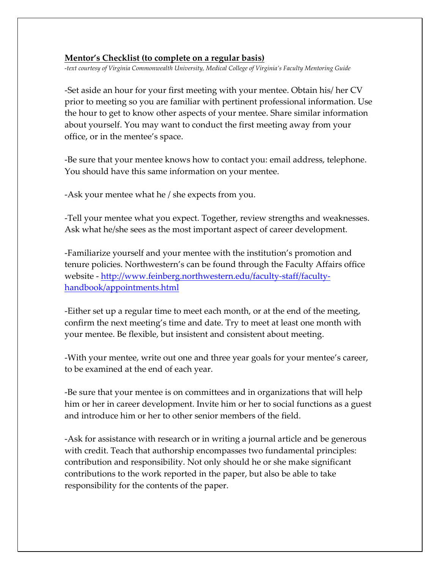## **Mentor's Checklist (to complete on a regular basis)**

-*text courtesy of Virginia Commonwealth University, Medical College of Virginia's Faculty Mentoring Guide* 

-Set aside an hour for your first meeting with your mentee. Obtain his/ her CV prior to meeting so you are familiar with pertinent professional information. Use the hour to get to know other aspects of your mentee. Share similar information about yourself. You may want to conduct the first meeting away from your office, or in the mentee's space.

-Be sure that your mentee knows how to contact you: email address, telephone. You should have this same information on your mentee.

-Ask your mentee what he / she expects from you.

-Tell your mentee what you expect. Together, review strengths and weaknesses. Ask what he/she sees as the most important aspect of career development.

-Familiarize yourself and your mentee with the institution's promotion and tenure policies. Northwestern's can be found through the Faculty Affairs office website - http://www.feinberg.northwestern.edu/faculty-staff/facultyhandbook/appointments.html

-Either set up a regular time to meet each month, or at the end of the meeting, confirm the next meeting's time and date. Try to meet at least one month with your mentee. Be flexible, but insistent and consistent about meeting.

-With your mentee, write out one and three year goals for your mentee's career, to be examined at the end of each year.

-Be sure that your mentee is on committees and in organizations that will help him or her in career development. Invite him or her to social functions as a guest and introduce him or her to other senior members of the field.

-Ask for assistance with research or in writing a journal article and be generous with credit. Teach that authorship encompasses two fundamental principles: contribution and responsibility. Not only should he or she make significant contributions to the work reported in the paper, but also be able to take responsibility for the contents of the paper.